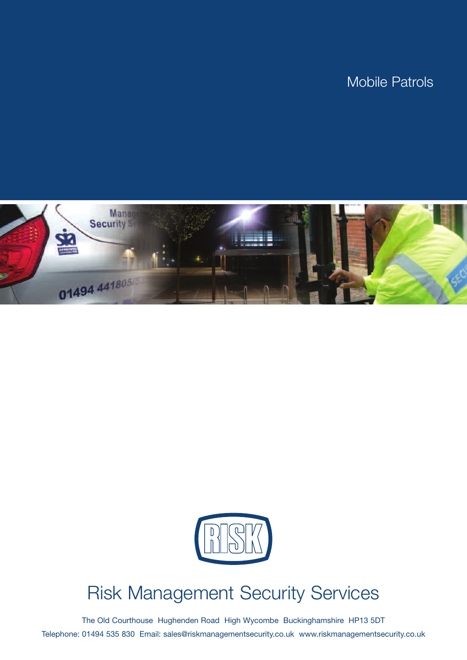



# Risk Management Security Services

The Old Courthouse Hughenden Road High Wycombe Buckinghamshire HP13 5DT Telephone: 01494 535 830 Email: sales@riskmanagementsecurity.co.uk www.riskmanagementsecurity.co.uk